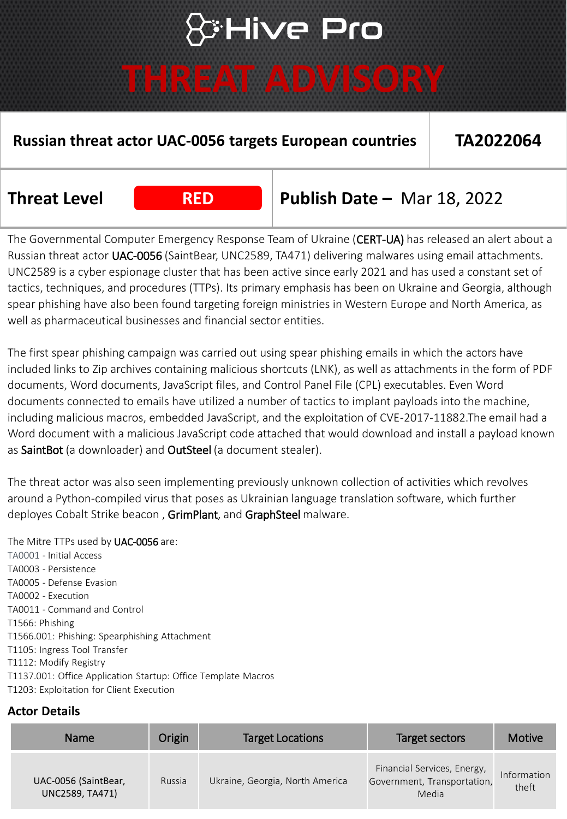## **\*Hive Pro**

### **THREAT ADVISORY**

#### **Russian threat actor UAC-0056 targets European countries TA2022064**

**Threat Level RED Publish Date –** Mar 18, 2022

The Governmental Computer Emergency Response Team of Ukraine (CERT-UA) has released an alert about a Russian threat actor UAC-0056 (SaintBear, UNC2589, TA471) delivering malwares using email attachments. UNC2589 is a cyber espionage cluster that has been active since early 2021 and has used a constant set of tactics, techniques, and procedures (TTPs). Its primary emphasis has been on Ukraine and Georgia, although spear phishing have also been found targeting foreign ministries in Western Europe and North America, as well as pharmaceutical businesses and financial sector entities.

The first spear phishing campaign was carried out using spear phishing emails in which the actors have included links to Zip archives containing malicious shortcuts (LNK), as well as attachments in the form of PDF documents, Word documents, JavaScript files, and Control Panel File (CPL) executables. Even Word documents connected to emails have utilized a number of tactics to implant payloads into the machine, including malicious macros, embedded JavaScript, and the exploitation of CVE-2017-11882.The email had a Word document with a malicious JavaScript code attached that would download and install a payload known as SaintBot (a downloader) and OutSteel (a document stealer).

The threat actor was also seen implementing previously unknown collection of activities which revolves around a Python-compiled virus that poses as Ukrainian language translation software, which further deployes Cobalt Strike beacon, GrimPlant, and GraphSteel malware.

The Mitre TTPs used by UAC-0056 are: TA0001 - Initial Access TA0003 - Persistence TA0005 - Defense Evasion TA0002 - Execution TA0011 - Command and Control T1566: Phishing T1566.001: Phishing: Spearphishing Attachment T1105: Ingress Tool Transfer T1112: Modify Registry T1137.001: Office Application Startup: Office Template Macros T1203: Exploitation for Client Execution

#### **Actor Details**

| Name                                    | Origin | <b>Target Locations</b>         | Target sectors                                                      | <b>Motive</b>        |
|-----------------------------------------|--------|---------------------------------|---------------------------------------------------------------------|----------------------|
| UAC-0056 (SaintBear,<br>UNC2589, TA471) | Russia | Ukraine, Georgia, North America | Financial Services, Energy,<br>Government, Transportation,<br>Media | Information<br>theft |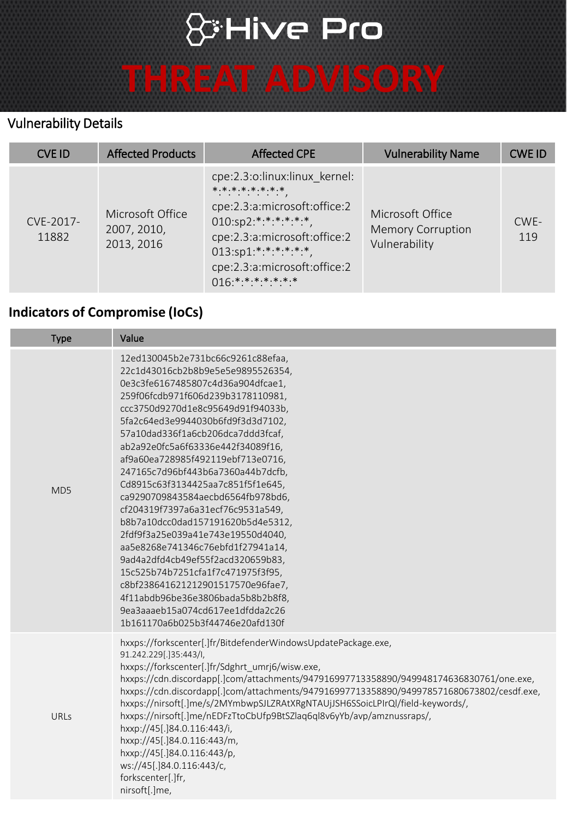## & Hive Pro

# **THREAT ADVISORY**

#### Vulnerability Details

| <b>CVE ID</b>      | <b>Affected Products</b>                      | <b>Affected CPE</b>                                                                                                                                                                                                          | <b>Vulnerability Name</b>                                     | <b>CWE ID</b> |
|--------------------|-----------------------------------------------|------------------------------------------------------------------------------------------------------------------------------------------------------------------------------------------------------------------------------|---------------------------------------------------------------|---------------|
| CVE-2017-<br>11882 | Microsoft Office<br>2007, 2010,<br>2013, 2016 | cpe:2.3:o:linux:linux kernel:<br>* * * * * * * * *<br>cpe:2.3:a:microsoft:office:2<br>$010:sp2.*.*.*.*.*.*.*$<br>cpe:2.3:a:microsoft:office:2<br>$013:sp1.*.*.*.*.*.*.*$<br>cpe:2.3:a:microsoft:office:2<br>$016***********$ | Microsoft Office<br><b>Memory Corruption</b><br>Vulnerability | CWE-<br>119   |

#### **Indicators of Compromise (IoCs)**

| <b>Type</b>     | Value                                                                                                                                                                                                                                                                                                                                                                                                                                                                                                                                                                                                                                                                                                                                                                                                                                    |
|-----------------|------------------------------------------------------------------------------------------------------------------------------------------------------------------------------------------------------------------------------------------------------------------------------------------------------------------------------------------------------------------------------------------------------------------------------------------------------------------------------------------------------------------------------------------------------------------------------------------------------------------------------------------------------------------------------------------------------------------------------------------------------------------------------------------------------------------------------------------|
| MD <sub>5</sub> | 12ed130045b2e731bc66c9261c88efaa,<br>22c1d43016cb2b8b9e5e5e9895526354,<br>0e3c3fe6167485807c4d36a904dfcae1,<br>259f06fcdb971f606d239b3178110981,<br>ccc3750d9270d1e8c95649d91f94033b,<br>5fa2c64ed3e9944030b6fd9f3d3d7102,<br>57a10dad336f1a6cb206dca7ddd3fcaf,<br>ab2a92e0fc5a6f63336e442f34089f16,<br>af9a60ea728985f492119ebf713e0716,<br>247165c7d96bf443b6a7360a44b7dcfb,<br>Cd8915c63f3134425aa7c851f5f1e645,<br>ca9290709843584aecbd6564fb978bd6,<br>cf204319f7397a6a31ecf76c9531a549,<br>b8b7a10dcc0dad157191620b5d4e5312,<br>2fdf9f3a25e039a41e743e19550d4040,<br>aa5e8268e741346c76ebfd1f27941a14,<br>9ad4a2dfd4cb49ef55f2acd320659b83,<br>15c525b74b7251cfa1f7c471975f3f95,<br>c8bf238641621212901517570e96fae7,<br>4f11abdb96be36e3806bada5b8b2b8f8,<br>9ea3aaaeb15a074cd617ee1dfdda2c26<br>1b161170a6b025b3f44746e20afd130f |
| URLs            | hxxps://forkscenter[.]fr/BitdefenderWindowsUpdatePackage.exe,<br>91.242.229[.]35:443/I,<br>hxxps://forkscenter[.]fr/Sdghrt_umrj6/wisw.exe,<br>hxxps://cdn.discordapp[.]com/attachments/947916997713358890/949948174636830761/one.exe,<br>hxxps://cdn.discordapp[.]com/attachments/947916997713358890/949978571680673802/cesdf.exe,<br>hxxps://nirsoft[.]me/s/2MYmbwpSJLZRAtXRgNTAUjJSH6SSoicLPIrQl/field-keywords/,<br>hxxps://nirsoft[.]me/nEDFzTtoCbUfp9BtSZlaq6ql8v6yYb/avp/amznussraps/,<br>hxxp://45[.]84.0.116:443/i,<br>hxxp://45[.]84.0.116:443/m,<br>hxxp://45[.]84.0.116:443/p,<br>ws://45[.]84.0.116:443/c,<br>forkscenter[.]fr,<br>nirsoft[.]me,                                                                                                                                                                             |